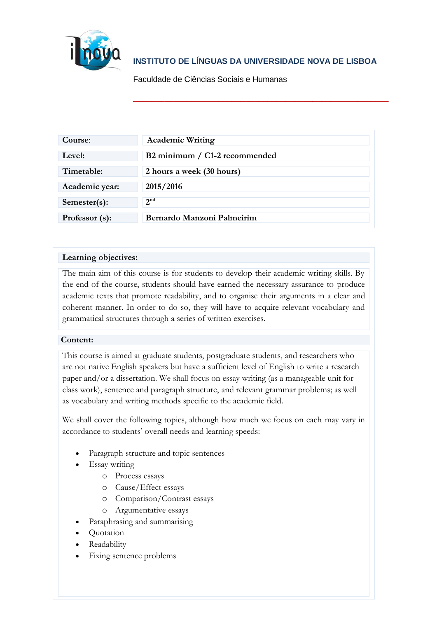

# **INSTITUTO DE LÍNGUAS DA UNIVERSIDADE NOVA DE LISBOA**

\_\_\_\_\_\_\_\_\_\_\_\_\_\_\_\_\_\_\_\_\_\_\_\_\_\_\_\_\_\_\_\_\_\_\_\_\_\_\_\_\_\_\_\_\_\_\_\_\_\_\_\_\_\_\_\_\_

[Faculdade de Ciências Sociais e Humanas](http://www.fcsh.unl.pt/)

| Course:        | <b>Academic Writing</b>       |
|----------------|-------------------------------|
| Level:         | B2 minimum / C1-2 recommended |
| Timetable:     | 2 hours a week (30 hours)     |
| Academic year: | 2015/2016                     |
| Semester(s):   | 2 <sup>nd</sup>               |
| Professor (s): | Bernardo Manzoni Palmeirim    |

## **Learning objectives:**

The main aim of this course is for students to develop their academic writing skills. By the end of the course, students should have earned the necessary assurance to produce academic texts that promote readability, and to organise their arguments in a clear and coherent manner. In order to do so, they will have to acquire relevant vocabulary and grammatical structures through a series of written exercises.

### **Content:**

This course is aimed at graduate students, postgraduate students, and researchers who are not native English speakers but have a sufficient level of English to write a research paper and/or a dissertation. We shall focus on essay writing (as a manageable unit for class work), sentence and paragraph structure, and relevant grammar problems; as well as vocabulary and writing methods specific to the academic field.

We shall cover the following topics, although how much we focus on each may vary in accordance to students' overall needs and learning speeds:

- Paragraph structure and topic sentences
- Essay writing
	- o Process essays
	- o Cause/Effect essays
	- o Comparison/Contrast essays
	- o Argumentative essays
- Paraphrasing and summarising
- Quotation
- Readability
- Fixing sentence problems